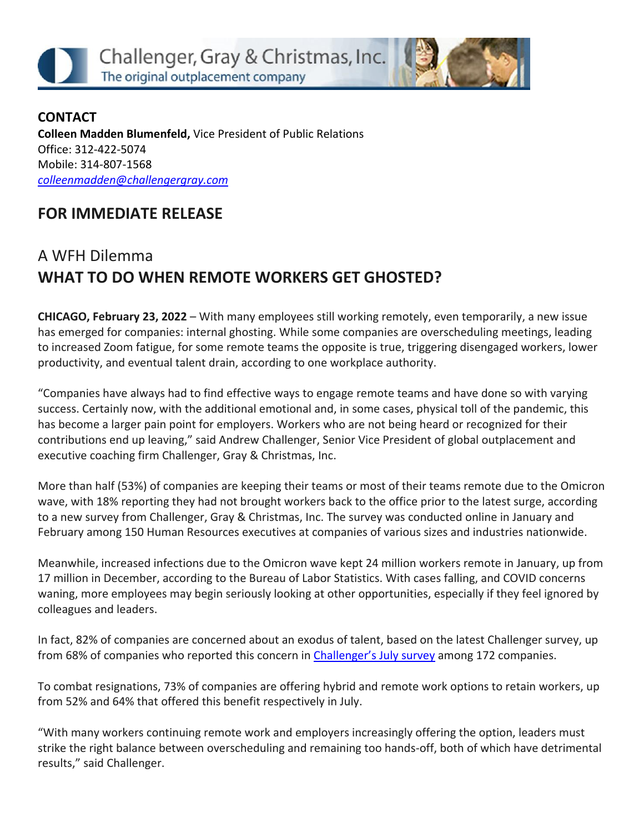



**CONTACT Colleen Madden Blumenfeld,** Vice President of Public Relations Office: 312-422-5074 Mobile: 314-807-1568 *[colleenmadden@challengergray.com](mailto:colleenmadden@challengergray.com)* 

## **FOR IMMEDIATE RELEASE**

## A WFH Dilemma **WHAT TO DO WHEN REMOTE WORKERS GET GHOSTED?**

**CHICAGO, February 23, 2022** – With many employees still working remotely, even temporarily, a new issue has emerged for companies: internal ghosting. While some companies are overscheduling meetings, leading to increased Zoom fatigue, for some remote teams the opposite is true, triggering disengaged workers, lower productivity, and eventual talent drain, according to one workplace authority.

"Companies have always had to find effective ways to engage remote teams and have done so with varying success. Certainly now, with the additional emotional and, in some cases, physical toll of the pandemic, this has become a larger pain point for employers. Workers who are not being heard or recognized for their contributions end up leaving," said Andrew Challenger, Senior Vice President of global outplacement and executive coaching firm Challenger, Gray & Christmas, Inc.

More than half (53%) of companies are keeping their teams or most of their teams remote due to the Omicron wave, with 18% reporting they had not brought workers back to the office prior to the latest surge, according to a new survey from Challenger, Gray & Christmas, Inc. The survey was conducted online in January and February among 150 Human Resources executives at companies of various sizes and industries nationwide.

Meanwhile, increased infections due to the Omicron wave kept 24 million workers remote in January, up from 17 million in December, according to the Bureau of Labor Statistics. With cases falling, and COVID concerns waning, more employees may begin seriously looking at other opportunities, especially if they feel ignored by colleagues and leaders.

In fact, 82% of companies are concerned about an exodus of talent, based on the latest Challenger survey, up from 68% of companies who reported this concern in [Challenger's July survey](https://www.challengergray.com/blog/survey-68-of-companies-worrying-about-exodus-of-talent-85-experiencing-talent-shortage/) among 172 companies.

To combat resignations, 73% of companies are offering hybrid and remote work options to retain workers, up from 52% and 64% that offered this benefit respectively in July.

"With many workers continuing remote work and employers increasingly offering the option, leaders must strike the right balance between overscheduling and remaining too hands-off, both of which have detrimental results," said Challenger.